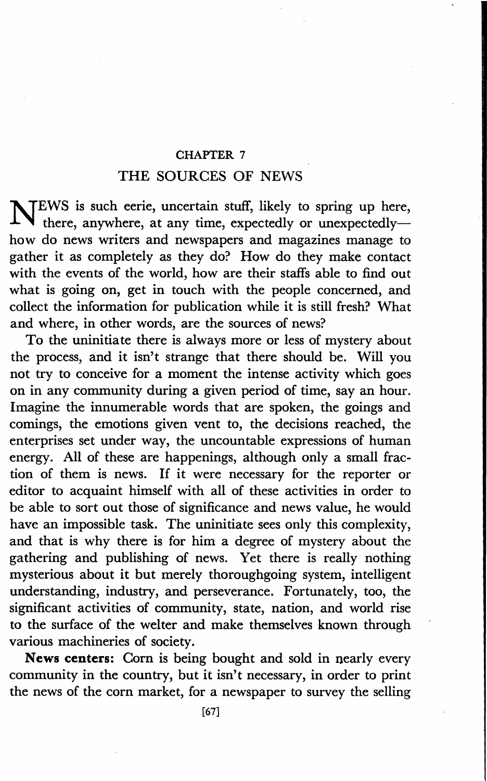## CHAPTER 7

## THE SOURCES OF NEWS

NTEWS is such eerie, uncertain stuff, likely to spring up here.  $\blacklozenge$  there, anywhere, at any time, expectedly or unexpectedlyhow do news writers and newspapers and magazines manage to gather it as completely as they do? How do they make contact with the events of the world, how are their staffs able to find out what is going on, get in touch with the people concerned, and collect the information for publication while it is still fresh? What and where, in other words, are the sources of news?

To the uninitiate there is always more or less of mystery about the process, and it isn't strange that there should be. Will you not try to conceive for a moment the intense activity which goes on in any community during a given period of time, say an hour. Imagine the innumerable words that are spoken, the goings and comings, the emotions given vent to, the decisions reached, the enterprises set under way, the uncountable expressions of human energy. All of these are happenings, although only a small fraction of them is news. If it were necessary for the reporter or editor to acquaint himself with all of these activities in order to be able to sort out those of significance and news value, he would have an impossible task. The uninitiate sees only this complexity, and that is why there is for him a degree of mystery about the gathering and publishing of news. Yet there is really nothing mysterious about it but merely thoroughgoing system, intelligent understanding, industry, and perseverance. Fortunately, too, the significant activities of community, state, nation, and world rise to the surface of the welter and make themselves known through various machineries of society.

**News centers:** Corn is being bought and sold in nearly every community in the country, but it isn't necessary, in order to print the news of the corn market, for a newspaper to survey the selling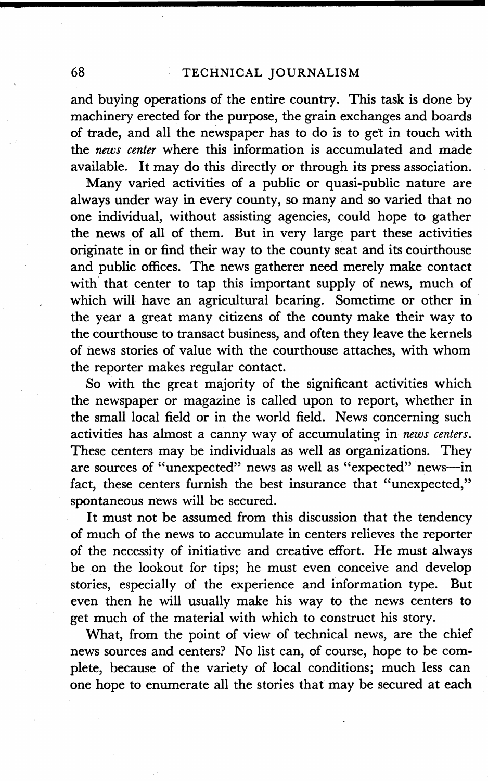and buying operations of the entire country. This task is done by machinery erected for the purpose, the grain exchanges and boards of trade, and all the newspaper has to do is to get in touch with the *news center* where this information is accumulated and made available. It may do this directly or through its press association.

Many varied activities of a public or quasi-public nature are always under way in every county, so many and so varied that no one individual, without assisting agencies, could hope to gather the news of all of them. But in very large part these activities originate in or find their way to the county seat and its courthouse and public offices. The news gatherer need merely make contact with that center to tap this important supply of news, much of which will have an agricultural bearing. Sometime or other in the year a great many citizens of the county make their way to the courthouse to transact business, and often they leave the kernels of news stories of value with the courthouse attaches, with whom the reporter makes regular contact.

So with the great majority of the significant activities which the newspaper or magazine is called upon to report, whether in the small local field or in the world field. News concerning such activities has almost a canny way of accumulating in *news centers.*  These centers may be individuals as well as organizations. They are sources of "unexpected" news as well as "expected" news-in fact, these centers furnish the best insurance that "unexpected," spontaneous news will be secured.

It must not be assumed from this discussion that the tendency of much of the news to accumulate in centers relieves the reporter of the necessity of initiative and creative effort. He must always be on the lookout for tips; he must even conceive and develop stories, especially of the experience and information type. **But**  even then he will usually make his way to the news centers to get much of the material with which to construct his story.

What, from the point of view of technical news, are the chief news sources and centers? No list can, of course, hope to be complete, because of the variety of local conditions; much less can one hope to enumerate all the stories that may be secured at each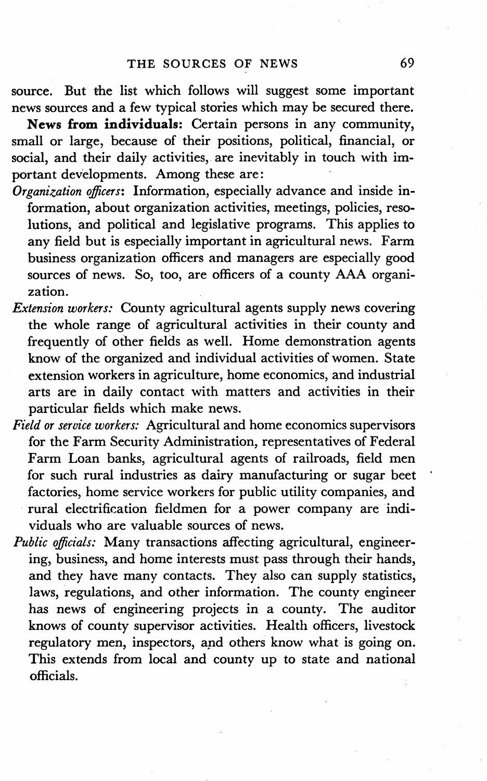source. But the list which follows will suggest some important news sources and a few typical stories which may be secured there.

**News from individuals:** Certain persons in any community, small or large, because of their positions, political, financial, or social, and their daily activities, are inevitably in touch with important developments. Among these are:

- *Organization officers:* Information, especially advance and inside **in**formation, about organization activities, meetings, policies, resolutions, and political and legislative programs. This applies to any field but is especially important in agricultural news. Farm business organization officers and managers are especially good sources of news. So, too, are officers of a county AAA organization.
- *Extension workers:* County agricultural agents supply news covering the whole range of agricultural activities in their county and frequently of other fields as well. Home demonstration agents know of the organized and individual activities of women. State extension workers in agriculture, home economics, and industrial arts are in daily contact with matters and activities in their particular fields which make news.
- *Field or service workers:* Agricultural and home economics supervisors for the Farm Security Administration, representatives of Federal Farm Loan banks, agricultural agents of railroads, field men for such rural industries as dairy manufacturing or sugar beet factories, home service workers for public utility companies, and rural electrification fieldmen for a power company are individuals who are valuable sources of news.
- *Public officials:* Many transactions affecting agricultural, engineering, business, and home interests must pass through their hands, and they have many contacts. They also can supply statistics, laws, regulations, and other information. The county engineer has news of engineering projects in a county. The auditor knows of county supervisor activities. Health officers, livestock regulatory men, inspectors, and others know what is going on. This extends from local and county up to state and national officials.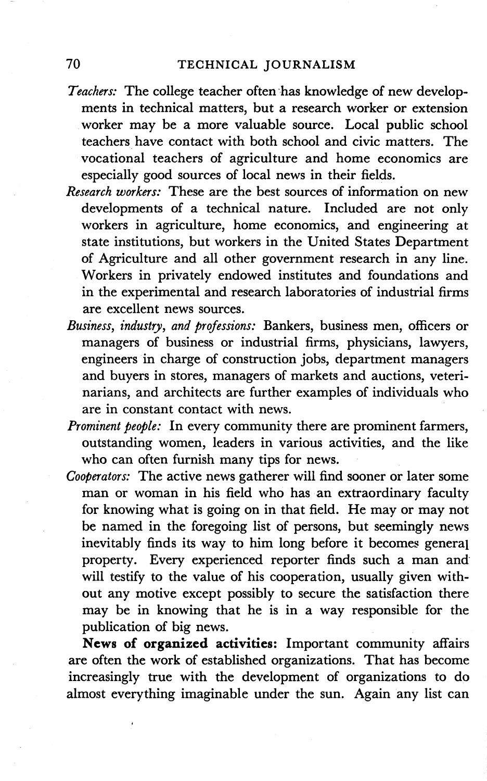- Teachers: The college teacher often has knowledge of new developments in technical matters, but a research worker or extension worker may be a more valuable source. Local public school teachers have contact with both school and civic matters. The vocational teachers of agriculture and home economics are especially good sources of local news in their fields.
- *Research workers: These* are the *best* sources of information on new developments of a technical nature. Included are not only workers in agriculture, home economics, and engineering at state institutions, but workers in the United States Department of Agriculture and all other government research in any line. Workers in privately endowed institutes and foundations and in the experimental and research laboratories of industrial firms are excellent news sources.
- *Business, industry, and professions:* Bankers, business men, officers or managers of business or industrial firms, physicians, lawyers, engineers in charge of construction jobs, department managers and buyers in stores, managers of markets and auctions, veterinarians, and architects are further examples of individuals who are in constant contact with news.
- *Prominent people:* In every community there are prominent farmers, outstanding women, leaders in various activities, and the like who can often furnish many tips for news.
- *Cooperators:* The active news gatherer will find sooner or later some man or woman in his field who has an extraordinary faculty for knowing what is going on in that field. He may or may not be named in the foregoing list of persons, but seemingly news inevitably finds its way to him long before it becomes general property. Every experienced reporter finds such a man and· will testify to the value of his cooperation, usually given without any motive except possibly to secure the satisfaction there may be in knowing that he is in a way responsible for the publication of big news.

**News of organized activities:** Important community affairs are often the work of established organizations. That has become increasingly true with the development of organizations to do almost everything imaginable under the sun. Again any list can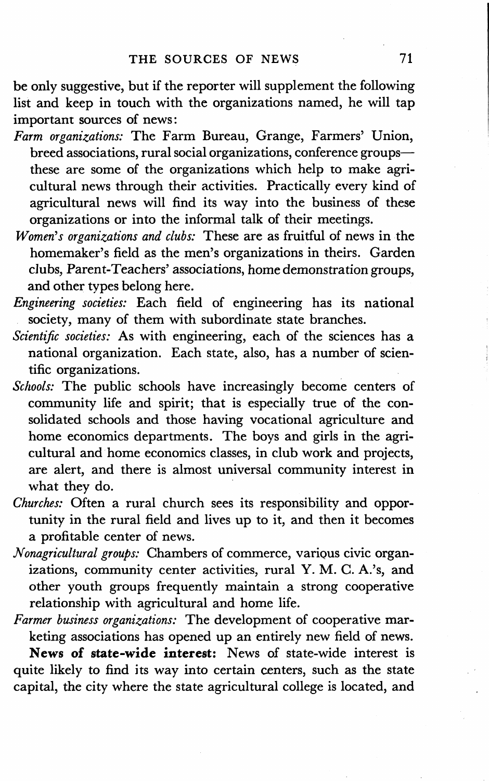be only suggestive, but if the reporter will supplement the following list and keep in touch with the organizations named, he will tap important sources of news:

- *Farm organizations:* The Farm Bureau, Grange, Farmers' Union, breed associations, rural social organizations, conference groupsthese are some of the organizations which help to make agricultural news through their activities. Practically every kind of agricultural news will find its way into the business of these organizations or into the informal talk of their meetings.
- *Women's organizations and clubs:* These are as fruitful of news in the homemaker's field as the men's organizations in theirs. Garden clubs, Parent-Teachers' associations, home demonstration groups, and other types belong here.
- *Engineering societies:* Each field of engineering has its national society, many of them with subordinate state branches.
- *Scientific societies:* As with engineering, each of the sciences has a national organization. Each state, also, has a number of scientific organizations.
- *Schools:* The public schools have increasingly become centers of community life and spirit; that is especially true of the consolidated schools and those having vocational agriculture and home economics departments. The boys and girls in the agricultural and home economics classes, in club work and projects, are alert, and there is almost universal community interest in what they do.
- *Churches:* Often a rural church sees its responsibility and opportunity in the rural field and lives up to it, and then it becomes a profitable center of news.
- *Nonagricultural groups:* Chambers of commerce, various civic organizations, community center activities, rural **Y. M.** C. A.'s, and other youth groups frequently maintain a strong cooperative relationship with agricultural and home life.

*Farmer business organizations:* The development of cooperative marketing associations has opened up an entirely new field of news. **News of state-wide interest:** News of state-wide interest is quite likely to find its way into certain centers, such as the state capital, the city where the state agricultural college is located, and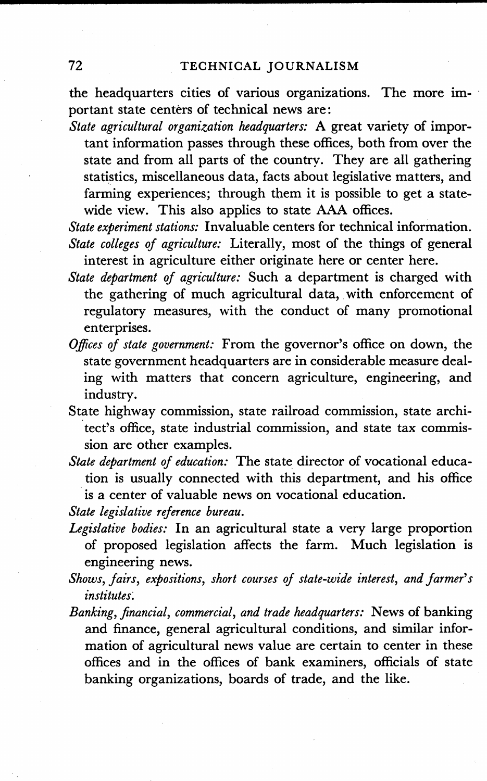the headquarters cities of various organizations. The more important state centers of technical news are:

*State agricultural organization headquarters:* A great variety of important information passes through these offices, both from over the state and from all parts of the country. They are all gathering statistics, miscellaneous data, facts about legislative matters, and farming experiences; through them it is possible to get a statewide view. This also applies to state AAA offices.

*State experiment stations:* Invaluable centers for technical information. *State colleges of agriculture:* Literally, most of the things of general interest in agriculture either originate here or center here.

- *State department of agriculture:* Such a department is charged with the gathering of much agricultural data, with enforcement of regulatory measures, with the conduct of many promotional enterprises.
- *Offices of state government:* From the governor's office on down, the state government headquarters are in considerable measure dealing with matters that concern agriculture, engineering, and industry.
- State highway commission, state railroad commission, state archi tect's office, state industrial commission, and state tax commission are other examples.
- *State department of education:* The state director of vocational education is usually connected with this department, and his office is a center of valuable news on vocational education.

*State legislative reference bureau.* 

- *Legislative bodies:* In an agricultural state a very large proportion of proposed legislation affects the farm. Much legislation is engineering news.
- *Shows, fairs, expositions, short courses of state-wide interest, and farmer's institutes:*
- *Banking, financial, commercial, and trade headquarters:* News of banking and finance, general agricultural conditions, and similar information of agricultural news value are certain to center in these offices and in the offices of bank examiners, officials of state banking organizations, boards of trade, and the like.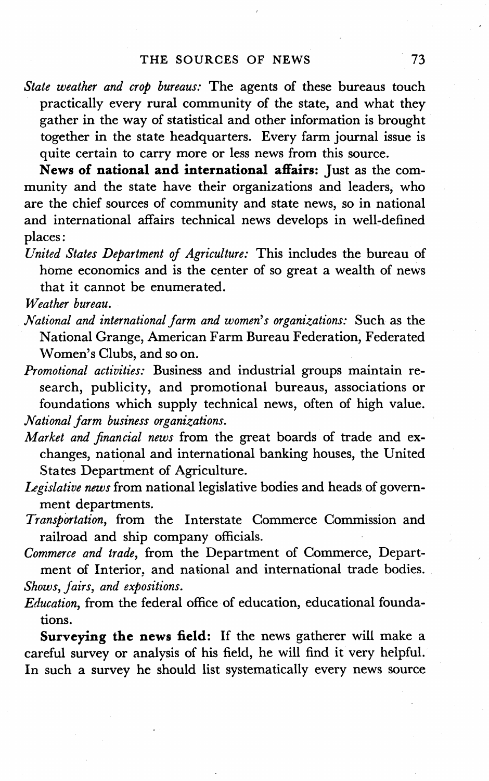*State weather and crop bureaus:* The agents of these bureaus touch practically every rural community of the state, and what they gather in the way of statistical and other information is brought together in the state headquarters. Every farm journal issue is quite certain to carry more or less news from this source.

**News of national and international affairs:** Just as the community and the state have their organizations and leaders, who are the chief sources of community and state news, so in national and international affairs technical news develops in well-defined places:

- *United States Department of Agriculture:* This includes the bureau of home economics and is the center of so great a wealth of news that it cannot be enumerated.
- *Weather bureau.*
- *National and international farm and women's organizations:* Such as the National Grange, American Farm Bureau Federation, Federated Women's Clubs, and so on.
- *Promotional activities:* Business and industrial groups maintain research, publicity, and promotional bureaus, associations or foundations which supply technical news, often of high value. *National farm business organizations.*
- *Market and financial news* from the great boards of trade and exchanges, national and international banking houses, the United States Department of Agriculture.
- *Legislative news* from national legislative bodies and heads of government departments.
- *Transportation,* from the Interstate Commerce Commission and railroad and ship company officials.
- *Commerce and trade,* from the Department of Commerce, Department of Interior, and national and international trade bodies.

*Shows, fairs, and expositions.* 

*Education,* from the federal office of education, educational foundations.

**Surveying the news field:** If the news gatherer will make a careful survey or analysis of his field, he will find it very helpful. In such a survey he should list systematically every news source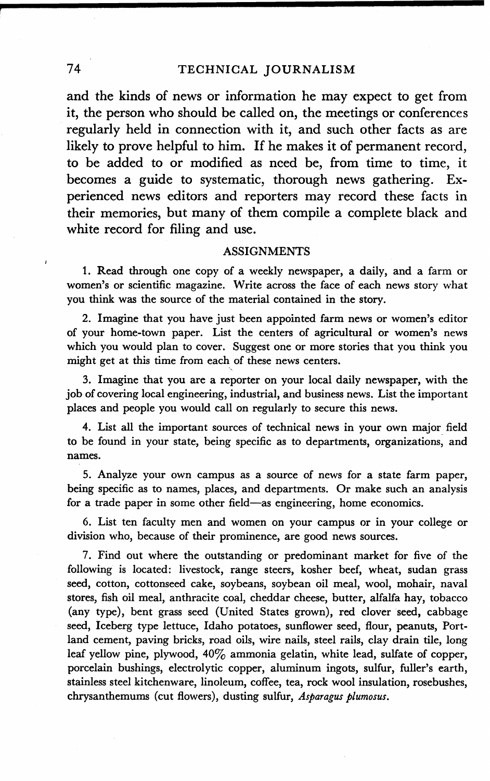and the kinds of news or information he may expect to get from it, the person who should be called on, the meetings or conferences regularly held in connection with it, and such other facts as are likely to prove helpful to him. If he makes it of permanent record, to be added to or modified as need be, from time to time, it becomes a guide to systematic, thorough news gathering. Experienced news editors and reporters may record these facts in their memories, but many of them compile a complete black and white record for filing and use.

## **ASSIGNMENTS**

1. Read through one copy of a weekly newspaper, a daily, and a farm or women's or scientific magazine. Write across the face of each news story what you think was the source of the material contained in the story.

2. Imagine that you have just been appointed farm news or women's editor of your home-town paper. List the centers of agricultural or women's news which you would plan to cover. Suggest one or more stories that you think you might get at this time from each of these news centers.

', 3. Imagine that you are a reporter on your local daily newspaper, with the job of covering local engineering, industrial, and business news. List the important places and people you would call on regularly to secure this news.

4. List all the important sources of technical news in your own major field to be found in your state, being specific as to departments, organizations; and names.

5. Analyze your own campus as a source of news for a state farm paper, being specific as to names, places, and departments. Or make such an analysis for a trade paper in some other field-as engineering, home economics.

6. List ten faculty men and women on your campus or in your college or division who, because of their prominence, are good news sources.

7. Find out where the outstanding or predominant market for five of the following is located: livestock, range steers, kosher beef, wheat, sudan grass seed, cotton, cottonseed cake, soybeans, soybean oil meal, wool, mohair, naval stores, fish oil meal, anthracite coal, cheddar cheese, butter, alfalfa hay, tobacco (any type), bent grass seed (United States grown), red clover seed, cabbage seed, Iceberg type lettuce, Idaho potatoes, sunflower seed, flour, peanuts, Portland cement, paving bricks, road oils, wire nails, steel rails, clay drain tile, long leaf yellow pine, plywood, 40% ammonia gelatin, white lead, sulfate of copper, porcelain bushings, electrolytic copper, aluminum ingots, sulfur, fuller's earth, stainless steel kitchenware, linoleum, coffee, tea, rock wool insulation, rosebushes; chrysanthemums (cut flowers), dusting sulfur, *Asparagus plumosus.*